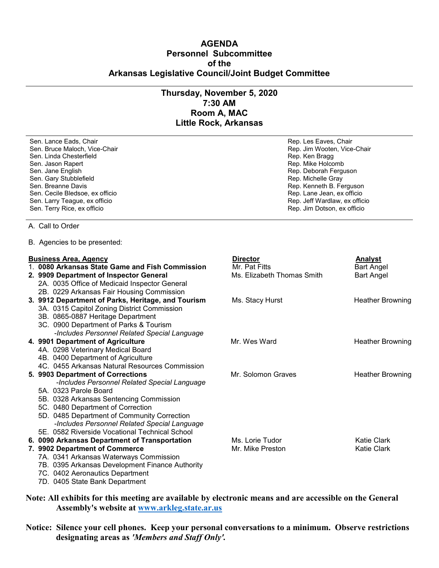## **AGENDA Personnel Subcommittee of the Arkansas Legislative Council/Joint Budget Committee**

## **Thursday, November 5, 2020 7:30 AM Room A, MAC Little Rock, Arkansas**

Sen. Lance Eads, Chair **Rep. Les Eaves, Chair** Rep. Les Eaves, Chair Rep. Les Eaves, Chair Sen. Bruce Maloch, Vice-Chair (1999) (Sen. Bruce Maloch, Vice-Chair Rep. Jim Wooten, Vice-Chair Sen. Linda Chesterfield Sen. Linda Chesterfield<br>Sen. Jason Rapert Sen. Jane English Rep. Deborah Ferguson Sen. Jane English Rep. Deborah Ferguson Rep. Deborah Ferguson Sen. Gary<br>Sen. Gary Stubblefield Sen. Gary Stubblefield<br>Sen. Breanne Davis Sen. Cecile Bledsoe, ex officio and the sense of the sense of the Sen. Lane Jean, ex officio Sen. Lane Jean, ex officio Sen. Larry Teague, ex officio and Sen. Larry Teague, ex officio and Sen. Larry Teague, ex officio and Sen. Larry Teague, ex officio

Rep. Mike Holcomb Rep. Kenneth B. Ferguson<br>Rep. Lane Jean, ex officio Sen. Terry Rice, ex officio Rep. Jim Dotson, ex officio

## A. Call to Order

B. Agencies to be presented:

| <b>Business Area, Agency</b> |                                                    | <b>Director</b>            | <b>Analyst</b>          |
|------------------------------|----------------------------------------------------|----------------------------|-------------------------|
|                              | 1. 0080 Arkansas State Game and Fish Commission    | Mr. Pat Fitts              | Bart Angel              |
|                              | 2. 9909 Department of Inspector General            | Ms. Elizabeth Thomas Smith | <b>Bart Angel</b>       |
|                              | 2A. 0035 Office of Medicaid Inspector General      |                            |                         |
|                              | 2B. 0229 Arkansas Fair Housing Commission          |                            |                         |
|                              | 3. 9912 Department of Parks, Heritage, and Tourism | Ms. Stacy Hurst            | <b>Heather Browning</b> |
|                              | 3A. 0315 Capitol Zoning District Commission        |                            |                         |
|                              | 3B. 0865-0887 Heritage Department                  |                            |                         |
|                              | 3C. 0900 Department of Parks & Tourism             |                            |                         |
|                              | -Includes Personnel Related Special Language       |                            |                         |
|                              | 4. 9901 Department of Agriculture                  | Mr. Wes Ward               | <b>Heather Browning</b> |
|                              | 4A. 0298 Veterinary Medical Board                  |                            |                         |
|                              | 4B. 0400 Department of Agriculture                 |                            |                         |
|                              | 4C. 0455 Arkansas Natural Resources Commission     |                            |                         |
|                              | 5. 9903 Department of Corrections                  | Mr. Solomon Graves         | <b>Heather Browning</b> |
|                              | -Includes Personnel Related Special Language       |                            |                         |
|                              | 5A. 0323 Parole Board                              |                            |                         |
|                              | 5B. 0328 Arkansas Sentencing Commission            |                            |                         |
|                              | 5C. 0480 Department of Correction                  |                            |                         |
|                              | 5D. 0485 Department of Community Correction        |                            |                         |
|                              | -Includes Personnel Related Special Language       |                            |                         |
|                              | 5E. 0582 Riverside Vocational Technical School     |                            |                         |
|                              | 6. 0090 Arkansas Department of Transportation      | Ms. Lorie Tudor            | <b>Katie Clark</b>      |
|                              | 7. 9902 Department of Commerce                     | Mr. Mike Preston           | <b>Katie Clark</b>      |
|                              | 7A. 0341 Arkansas Waterways Commission             |                            |                         |
|                              | 7B. 0395 Arkansas Development Finance Authority    |                            |                         |
|                              | 7C. 0402 Aeronautics Department                    |                            |                         |
|                              | 7D. 0405 State Bank Department                     |                            |                         |

**Note: All exhibits for this meeting are available by electronic means and are accessible on the General Assembly's website at [www.arkleg.state.ar.us](http://www.arkleg.state.ar.us)**

**Notice: Silence your cell phones. Keep your personal conversations to a minimum. Observe restrictions designating areas as** *'Members and Staff Only'.*